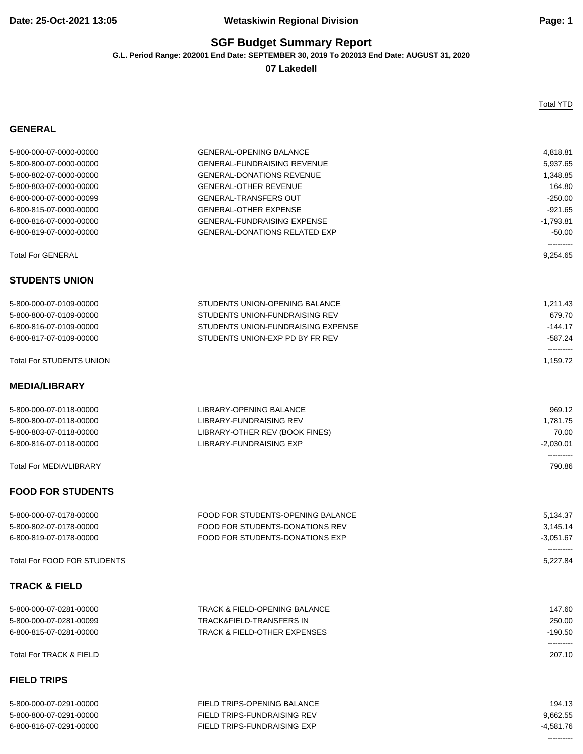## **SGF Budget Summary Report**

**G.L. Period Range: 202001 End Date: SEPTEMBER 30, 2019 To 202013 End Date: AUGUST 31, 2020**

**07 Lakedell**

## **GENERAL**

Total YTD

| 5-800-000-07-0000-00000            | <b>GENERAL-OPENING BALANCE</b>           | 4,818.81                  |
|------------------------------------|------------------------------------------|---------------------------|
| 5-800-800-07-0000-00000            | <b>GENERAL-FUNDRAISING REVENUE</b>       | 5,937.65                  |
| 5-800-802-07-0000-00000            | <b>GENERAL-DONATIONS REVENUE</b>         | 1,348.85                  |
| 5-800-803-07-0000-00000            | <b>GENERAL-OTHER REVENUE</b>             | 164.80                    |
| 6-800-000-07-0000-00099            | <b>GENERAL-TRANSFERS OUT</b>             | $-250.00$                 |
| 6-800-815-07-0000-00000            | <b>GENERAL-OTHER EXPENSE</b>             | $-921.65$                 |
| 6-800-816-07-0000-00000            | <b>GENERAL-FUNDRAISING EXPENSE</b>       | $-1,793.81$               |
| 6-800-819-07-0000-00000            | <b>GENERAL-DONATIONS RELATED EXP</b>     | $-50.00$                  |
|                                    |                                          | ----------                |
| <b>Total For GENERAL</b>           |                                          | 9,254.65                  |
| <b>STUDENTS UNION</b>              |                                          |                           |
| 5-800-000-07-0109-00000            | STUDENTS UNION-OPENING BALANCE           | 1,211.43                  |
| 5-800-800-07-0109-00000            | STUDENTS UNION-FUNDRAISING REV           | 679.70                    |
| 6-800-816-07-0109-00000            | STUDENTS UNION-FUNDRAISING EXPENSE       | $-144.17$                 |
| 6-800-817-07-0109-00000            | STUDENTS UNION-EXP PD BY FR REV          | $-587.24$                 |
| <b>Total For STUDENTS UNION</b>    |                                          | ----------<br>1,159.72    |
|                                    |                                          |                           |
| <b>MEDIA/LIBRARY</b>               |                                          |                           |
| 5-800-000-07-0118-00000            | LIBRARY-OPENING BALANCE                  | 969.12                    |
| 5-800-800-07-0118-00000            | LIBRARY-FUNDRAISING REV                  | 1,781.75                  |
| 5-800-803-07-0118-00000            | LIBRARY-OTHER REV (BOOK FINES)           | 70.00                     |
| 6-800-816-07-0118-00000            | LIBRARY-FUNDRAISING EXP                  | $-2,030.01$               |
|                                    |                                          | ----------                |
| <b>Total For MEDIA/LIBRARY</b>     |                                          | 790.86                    |
| <b>FOOD FOR STUDENTS</b>           |                                          |                           |
| 5-800-000-07-0178-00000            | FOOD FOR STUDENTS-OPENING BALANCE        | 5,134.37                  |
| 5-800-802-07-0178-00000            | FOOD FOR STUDENTS-DONATIONS REV          | 3,145.14                  |
| 6-800-819-07-0178-00000            | FOOD FOR STUDENTS-DONATIONS EXP          | $-3,051.67$<br>---------- |
| <b>Total For FOOD FOR STUDENTS</b> |                                          | 5,227.84                  |
| <b>TRACK &amp; FIELD</b>           |                                          |                           |
| 5-800-000-07-0281-00000            | <b>TRACK &amp; FIELD-OPENING BALANCE</b> | 147.60                    |
| 5-800-000-07-0281-00099            | <b>TRACK&amp;FIELD-TRANSFERS IN</b>      | 250.00                    |
| 6-800-815-07-0281-00000            | <b>TRACK &amp; FIELD-OTHER EXPENSES</b>  | $-190.50$                 |
| <b>Total For TRACK &amp; FIELD</b> |                                          | ----------<br>207.10      |
| <b>FIELD TRIPS</b>                 |                                          |                           |
| 5-800-000-07-0291-00000            | FIELD TRIPS-OPENING BALANCE              | 194.13                    |
| 5-800-800-07-0291-00000            | <b>FIELD TRIPS-FUNDRAISING REV</b>       | 9,662.55                  |
| 6-800-816-07-0291-00000            | FIELD TRIPS-FUNDRAISING EXP              | $-4.581.76$               |